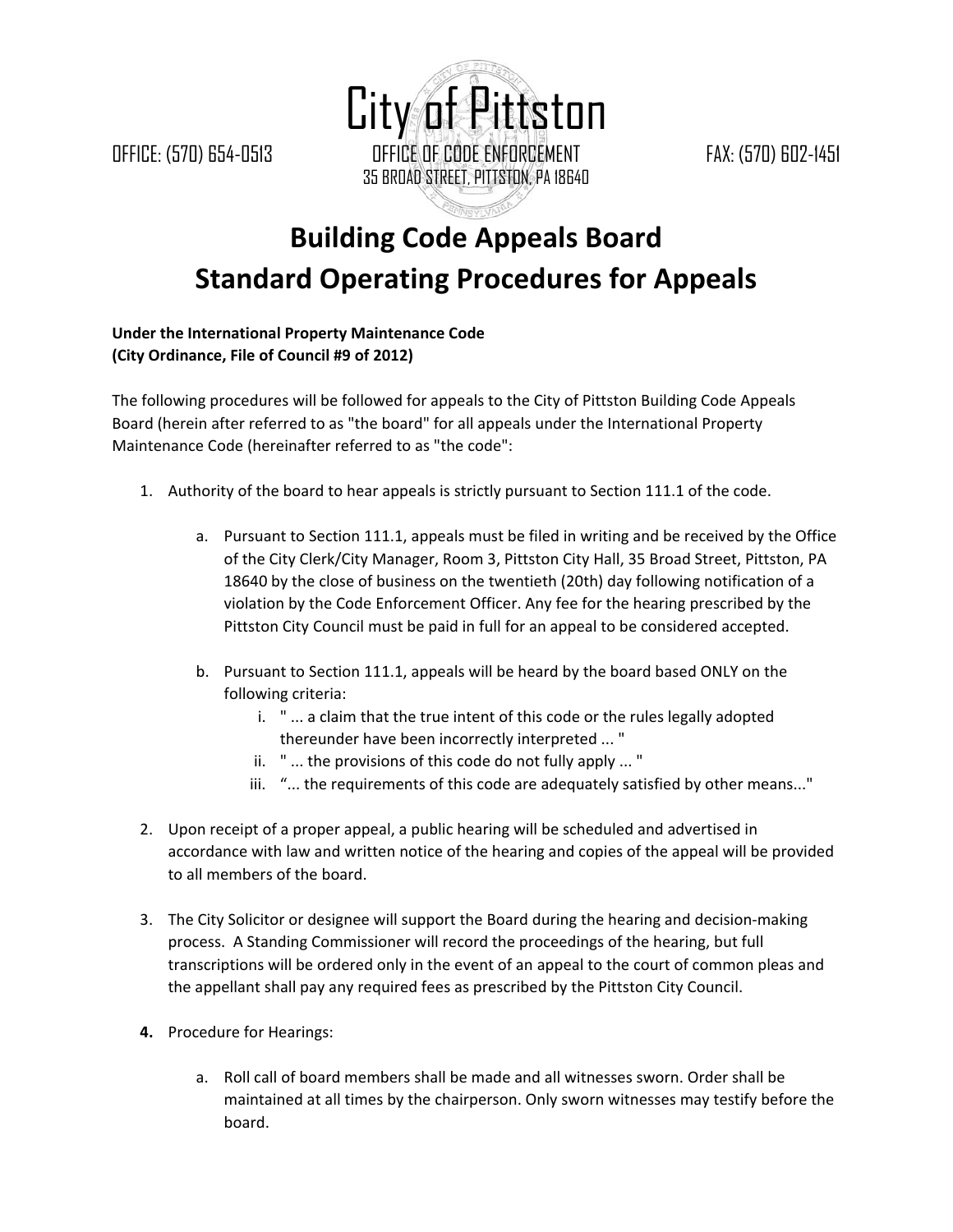City of Pittston OFFICE: (570) 654-0513 OFFICE OF CODE ENFORCEMENT FAX: (570) 602-1451 35 BROAD STREET, PITTSTON, PA 18640

## **Building Code Appeals Board Standard Operating Procedures for Appeals**

## **Under the International Property Maintenance Code (City Ordinance, File of Council #9 of 2012)**

The following procedures will be followed for appeals to the City of Pittston Building Code Appeals Board (herein after referred to as "the board" for all appeals under the International Property Maintenance Code (hereinafter referred to as "the code":

- 1. Authority of the board to hear appeals is strictly pursuant to Section 111.1 of the code.
	- a. Pursuant to Section 111.1, appeals must be filed in writing and be received by the Office of the City Clerk/City Manager, Room 3, Pittston City Hall, 35 Broad Street, Pittston, PA 18640 by the close of business on the twentieth (20th) day following notification of a violation by the Code Enforcement Officer. Any fee for the hearing prescribed by the Pittston City Council must be paid in full for an appeal to be considered accepted.
	- b. Pursuant to Section 111.1, appeals will be heard by the board based ONLY on the following criteria:
		- i. " ... a claim that the true intent of this code or the rules legally adopted thereunder have been incorrectly interpreted ... "
		- ii. " ... the provisions of this code do not fully apply ... "
		- iii. "... the requirements of this code are adequately satisfied by other means..."
- 2. Upon receipt of a proper appeal, a public hearing will be scheduled and advertised in accordance with law and written notice of the hearing and copies of the appeal will be provided to all members of the board.
- 3. The City Solicitor or designee will support the Board during the hearing and decision‐making process. A Standing Commissioner will record the proceedings of the hearing, but full transcriptions will be ordered only in the event of an appeal to the court of common pleas and the appellant shall pay any required fees as prescribed by the Pittston City Council.
- **4.** Procedure for Hearings:
	- a. Roll call of board members shall be made and all witnesses sworn. Order shall be maintained at all times by the chairperson. Only sworn witnesses may testify before the board.